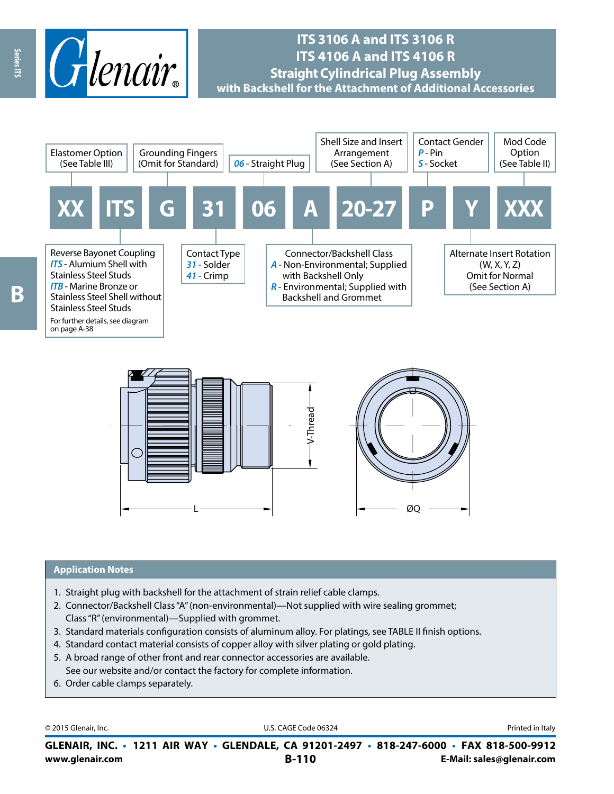

# **ITS 3106 A and ITS 3106 R ITS 4106 A and ITS 4106 R Straight Cylindrical Plug Assembly with Backshell for the Attachment of Additional Accessories**





#### **Application Notes**

- 1. Straight plug with backshell for the attachment of strain relief cable clamps.
- 2. Connector/Backshell Class "A" (non-environmental)—Not supplied with wire sealing grommet; Class "R" (environmental)—Supplied with grommet.
- 3. Standard materials configuration consists of aluminum alloy. For platings, see TABLE II finish options.
- 4. Standard contact material consists of copper alloy with silver plating or gold plating.
- 5. A broad range of other front and rear connector accessories are available. See our website and/or contact the factory for complete information.
- 6. Order cable clamps separately.

© 2015 Glenair, Inc. **Discription Construction Construction Construction Construction Construction Construction Construction Construction Construction Construction Construction Construction Construction Construction Constr** 

**www.glenair.com B-110 E-Mail: sales@glenair.com GLENAIR, INC. • 1211 AIR WAY • GLENDALE, CA 91201-2497 • 818-247-6000 • FAX 818-500-9912**